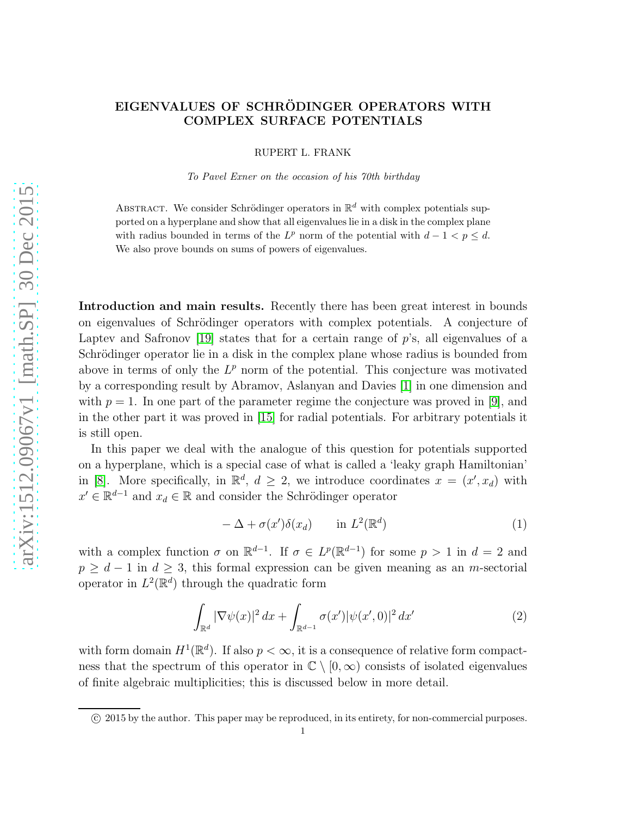## EIGENVALUES OF SCHRÖDINGER OPERATORS WITH COMPLEX SURFACE POTENTIALS

RUPERT L. FRANK

To Pavel Exner on the occasion of his 70th birthday

ABSTRACT. We consider Schrödinger operators in  $\mathbb{R}^d$  with complex potentials supported on a hyperplane and show that all eigenvalues lie in a disk in the complex plane with radius bounded in terms of the  $L^p$  norm of the potential with  $d-1 < p \leq d$ . We also prove bounds on sums of powers of eigenvalues.

Introduction and main results. Recently there has been great interest in bounds on eigenvalues of Schrödinger operators with complex potentials. A conjecture of Laptev and Safronov [\[19\]](#page-10-0) states that for a certain range of  $p$ 's, all eigenvalues of a Schrödinger operator lie in a disk in the complex plane whose radius is bounded from above in terms of only the  $L^p$  norm of the potential. This conjecture was motivated by a corresponding result by Abramov, Aslanyan and Davies [\[1\]](#page-10-1) in one dimension and with  $p = 1$ . In one part of the parameter regime the conjecture was proved in [\[9\]](#page-10-2), and in the other part it was proved in [\[15\]](#page-10-3) for radial potentials. For arbitrary potentials it is still open.

In this paper we deal with the analogue of this question for potentials supported on a hyperplane, which is a special case of what is called a 'leaky graph Hamiltonian' in [\[8\]](#page-10-4). More specifically, in  $\mathbb{R}^d$ ,  $d \geq 2$ , we introduce coordinates  $x = (x', x_d)$  with  $x' \in \mathbb{R}^{d-1}$  and  $x_d \in \mathbb{R}$  and consider the Schrödinger operator

<span id="page-0-0"></span>
$$
- \Delta + \sigma(x')\delta(x_d) \qquad \text{in } L^2(\mathbb{R}^d)
$$
 (1)

with a complex function  $\sigma$  on  $\mathbb{R}^{d-1}$ . If  $\sigma \in L^p(\mathbb{R}^{d-1})$  for some  $p > 1$  in  $d = 2$  and  $p \geq d-1$  in  $d \geq 3$ , this formal expression can be given meaning as an *m*-sectorial operator in  $L^2(\mathbb{R}^d)$  through the quadratic form

<span id="page-0-1"></span>
$$
\int_{\mathbb{R}^d} |\nabla \psi(x)|^2 dx + \int_{\mathbb{R}^{d-1}} \sigma(x') |\psi(x', 0)|^2 dx' \tag{2}
$$

with form domain  $H^1(\mathbb{R}^d)$ . If also  $p < \infty$ , it is a consequence of relative form compactness that the spectrum of this operator in  $\mathbb{C} \setminus [0,\infty)$  consists of isolated eigenvalues of finite algebraic multiplicities; this is discussed below in more detail.

c 2015 by the author. This paper may be reproduced, in its entirety, for non-commercial purposes.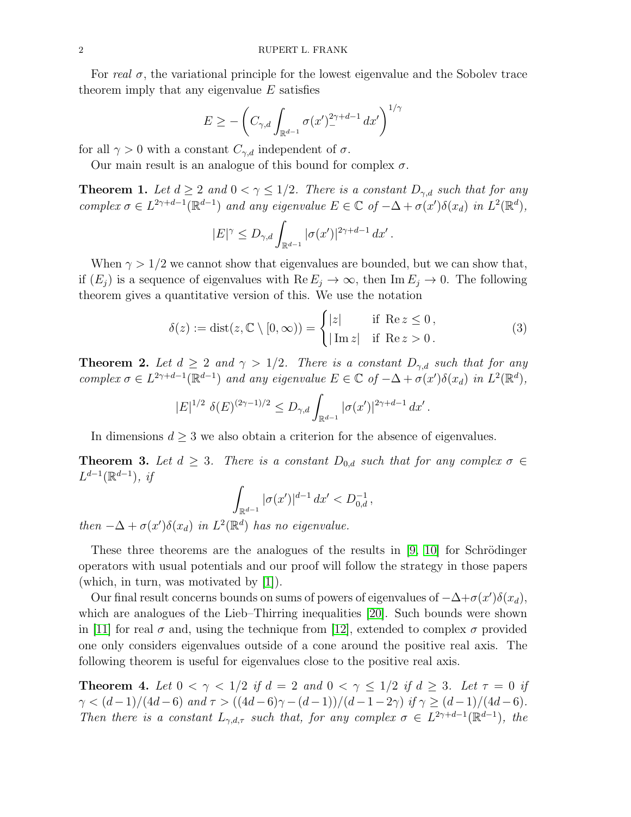For real  $\sigma$ , the variational principle for the lowest eigenvalue and the Sobolev trace theorem imply that any eigenvalue  $E$  satisfies

$$
E \ge -\left(C_{\gamma,d} \int_{\mathbb{R}^{d-1}} \sigma(x')_{-}^{2\gamma+d-1} dx'\right)^{1/\gamma}
$$

for all  $\gamma > 0$  with a constant  $C_{\gamma,d}$  independent of  $\sigma$ .

Our main result is an analogue of this bound for complex  $\sigma$ .

<span id="page-1-1"></span>**Theorem 1.** Let  $d \geq 2$  and  $0 < \gamma \leq 1/2$ . There is a constant  $D_{\gamma,d}$  such that for any complex  $\sigma \in L^{2\gamma+d-1}(\mathbb{R}^{d-1})$  and any eigenvalue  $E \in \mathbb{C}$  of  $-\Delta + \sigma(x')\delta(x_d)$  in  $L^2(\mathbb{R}^d)$ ,

$$
|E|^{\gamma} \le D_{\gamma,d} \int_{\mathbb{R}^{d-1}} |\sigma(x')|^{2\gamma+d-1} dx'.
$$

When  $\gamma > 1/2$  we cannot show that eigenvalues are bounded, but we can show that, if  $(E_i)$  is a sequence of eigenvalues with  $\text{Re } E_i \to \infty$ , then  $\text{Im } E_i \to 0$ . The following theorem gives a quantitative version of this. We use the notation

<span id="page-1-4"></span>
$$
\delta(z) := \text{dist}(z, \mathbb{C} \setminus [0, \infty)) = \begin{cases} |z| & \text{if } \text{Re } z \le 0, \\ |\text{Im } z| & \text{if } \text{Re } z > 0. \end{cases}
$$
 (3)

.

<span id="page-1-2"></span>**Theorem 2.** Let  $d \geq 2$  and  $\gamma > 1/2$ . There is a constant  $D_{\gamma,d}$  such that for any complex  $\sigma \in L^{2\gamma+d-1}(\mathbb{R}^{d-1})$  and any eigenvalue  $E \in \mathbb{C}$  of  $-\Delta + \sigma(x')\delta(x_d)$  in  $L^2(\mathbb{R}^d)$ ,

$$
|E|^{1/2} \delta(E)^{(2\gamma - 1)/2} \le D_{\gamma,d} \int_{\mathbb{R}^{d-1}} |\sigma(x')|^{2\gamma + d - 1} dx'
$$

In dimensions  $d \geq 3$  we also obtain a criterion for the absence of eigenvalues.

<span id="page-1-3"></span>**Theorem 3.** Let  $d \geq 3$ . There is a constant  $D_{0,d}$  such that for any complex  $\sigma \in$  $L^{d-1}(\mathbb{R}^{d-1}), \; i f$ 

$$
\int_{\mathbb{R}^{d-1}} |\sigma(x')|^{d-1} dx' < D_{0,d}^{-1},
$$

then  $-\Delta + \sigma(x')\delta(x_d)$  in  $L^2(\mathbb{R}^d)$  has no eigenvalue.

These three theorems are the analogues of the results in  $[9, 10]$  $[9, 10]$  for Schrödinger operators with usual potentials and our proof will follow the strategy in those papers (which, in turn, was motivated by [\[1\]](#page-10-1)).

Our final result concerns bounds on sums of powers of eigenvalues of  $-\Delta + \sigma(x')\delta(x_d)$ , which are analogues of the Lieb–Thirring inequalities [\[20\]](#page-10-6). Such bounds were shown in [\[11\]](#page-10-7) for real  $\sigma$  and, using the technique from [\[12\]](#page-10-8), extended to complex  $\sigma$  provided one only considers eigenvalues outside of a cone around the positive real axis. The following theorem is useful for eigenvalues close to the positive real axis.

<span id="page-1-0"></span>**Theorem 4.** Let  $0 < \gamma < 1/2$  if  $d = 2$  and  $0 < \gamma \leq 1/2$  if  $d \geq 3$ . Let  $\tau = 0$  if  $\gamma < (d-1)/(4d-6)$  and  $\tau > ((4d-6)\gamma - (d-1))/(d-1-2\gamma)$  if  $\gamma \ge (d-1)/(4d-6)$ . Then there is a constant  $L_{\gamma,d,\tau}$  such that, for any complex  $\sigma \in L^{2\gamma+d-1}(\mathbb{R}^{d-1})$ , the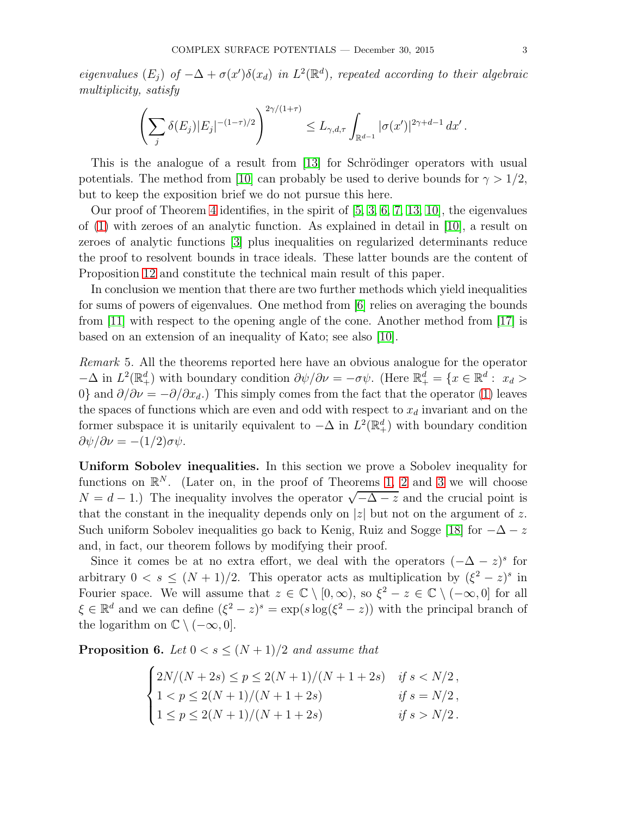eigenvalues  $(E_j)$  of  $-\Delta + \sigma(x')\delta(x_d)$  in  $L^2(\mathbb{R}^d)$ , repeated according to their algebraic multiplicity, satisfy

$$
\left(\sum_j \delta(E_j)|E_j|^{-(1-\tau)/2}\right)^{2\gamma/(1+\tau)} \leq L_{\gamma,d,\tau} \int_{\mathbb{R}^{d-1}} |\sigma(x')|^{2\gamma+d-1} dx'.
$$

This is the analogue of a result from [\[13\]](#page-10-9) for Schrödinger operators with usual potentials. The method from [\[10\]](#page-10-5) can probably be used to derive bounds for  $\gamma > 1/2$ , but to keep the exposition brief we do not pursue this here.

Our proof of Theorem [4](#page-1-0) identifies, in the spirit of [\[5,](#page-10-10) [3,](#page-10-11) [6,](#page-10-12) [7,](#page-10-13) [13,](#page-10-9) [10\]](#page-10-5), the eigenvalues of [\(1\)](#page-0-0) with zeroes of an analytic function. As explained in detail in [\[10\]](#page-10-5), a result on zeroes of analytic functions [\[3\]](#page-10-11) plus inequalities on regularized determinants reduce the proof to resolvent bounds in trace ideals. These latter bounds are the content of Proposition [12](#page-7-0) and constitute the technical main result of this paper.

In conclusion we mention that there are two further methods which yield inequalities for sums of powers of eigenvalues. One method from [\[6\]](#page-10-12) relies on averaging the bounds from [\[11\]](#page-10-7) with respect to the opening angle of the cone. Another method from [\[17\]](#page-10-14) is based on an extension of an inequality of Kato; see also [\[10\]](#page-10-5).

<span id="page-2-1"></span>Remark 5. All the theorems reported here have an obvious analogue for the operator  $-\Delta$  in  $L^2(\mathbb{R}^d_+)$  with boundary condition  $\partial \psi/\partial \nu = -\sigma \psi$ . (Here  $\mathbb{R}^d_+ = \{x \in \mathbb{R}^d : x_d > 0\}$ 0} and  $\partial/\partial \nu = -\partial/\partial x_d$ .) This simply comes from the fact that the operator [\(1\)](#page-0-0) leaves the spaces of functions which are even and odd with respect to  $x<sub>d</sub>$  invariant and on the former subspace it is unitarily equivalent to  $-\Delta$  in  $L^2(\mathbb{R}^d_+)$  with boundary condition  $\frac{\partial \psi}{\partial \nu} = -(1/2)\sigma \psi$ .

Uniform Sobolev inequalities. In this section we prove a Sobolev inequality for functions on  $\mathbb{R}^N$ . (Later on, in the proof of Theorems [1,](#page-1-1) [2](#page-1-2) and [3](#page-1-3) we will choose  $N = d - 1$ .) The inequality involves the operator  $\sqrt{-\Delta - z}$  and the crucial point is that the constant in the inequality depends only on  $|z|$  but not on the argument of z. Such uniform Sobolev inequalities go back to Kenig, Ruiz and Sogge [\[18\]](#page-10-15) for  $-\Delta - z$ and, in fact, our theorem follows by modifying their proof.

Since it comes be at no extra effort, we deal with the operators  $(-\Delta - z)^s$  for arbitrary  $0 < s \leq (N + 1)/2$ . This operator acts as multiplication by  $(\xi^2 - z)^s$  in Fourier space. We will assume that  $z \in \mathbb{C} \setminus [0, \infty)$ , so  $\xi^2 - z \in \mathbb{C} \setminus (-\infty, 0]$  for all  $\xi \in \mathbb{R}^d$  and we can define  $(\xi^2 - z)^s = \exp(s \log(\xi^2 - z))$  with the principal branch of the logarithm on  $\mathbb{C} \setminus (-\infty, 0]$ .

<span id="page-2-0"></span>**Proposition 6.** Let  $0 < s \leq (N + 1)/2$  and assume that

$$
\begin{cases}\n2N/(N+2s) \le p \le 2(N+1)/(N+1+2s) & \text{if } s < N/2, \\
1 < p \le 2(N+1)/(N+1+2s) & \text{if } s = N/2, \\
1 < p \le 2(N+1)/(N+1+2s) & \text{if } s > N/2.\n\end{cases}
$$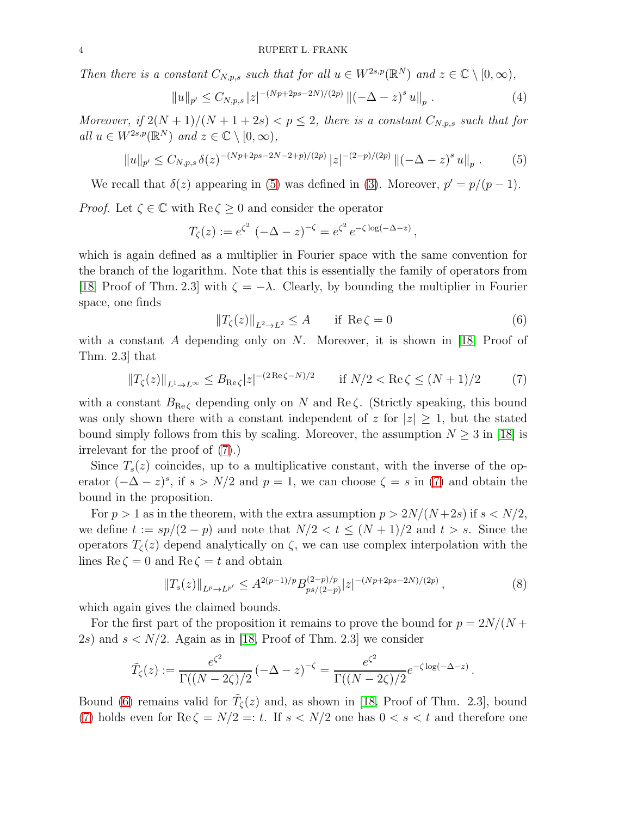Then there is a constant  $C_{N,p,s}$  such that for all  $u \in W^{2s,p}(\mathbb{R}^N)$  and  $z \in \mathbb{C} \setminus [0,\infty)$ ,

<span id="page-3-3"></span>
$$
||u||_{p'} \leq C_{N,p,s} |z|^{-(Np+2ps-2N)/(2p)} ||(-\Delta - z)^s u||_{p} . \tag{4}
$$

Moreover, if  $2(N+1)/(N+1+2s) < p \leq 2$ , there is a constant  $C_{N,p,s}$  such that for all  $u \in W^{2s,p}(\mathbb{R}^N)$  and  $z \in \mathbb{C} \setminus [0,\infty)$ ,

<span id="page-3-0"></span>
$$
||u||_{p'} \leq C_{N,p,s} \,\delta(z)^{-(Np+2ps-2N-2+p)/(2p)} \, |z|^{-(2-p)/(2p)} \, ||(-\Delta - z)^s \, u||_p \,. \tag{5}
$$

We recall that  $\delta(z)$  appearing in [\(5\)](#page-3-0) was defined in [\(3\)](#page-1-4). Moreover,  $p' = p/(p-1)$ .

*Proof.* Let  $\zeta \in \mathbb{C}$  with  $\text{Re}\,\zeta \geq 0$  and consider the operator

$$
T_{\zeta}(z) := e^{\zeta^2} \left( -\Delta - z \right)^{-\zeta} = e^{\zeta^2} e^{-\zeta \log(-\Delta - z)},
$$

which is again defined as a multiplier in Fourier space with the same convention for the branch of the logarithm. Note that this is essentially the family of operators from [\[18,](#page-10-15) Proof of Thm. 2.3] with  $\zeta = -\lambda$ . Clearly, by bounding the multiplier in Fourier space, one finds

<span id="page-3-2"></span>
$$
\|T_{\zeta}(z)\|_{L^2 \to L^2} \le A \quad \text{if } \operatorname{Re}\zeta = 0 \tag{6}
$$

with a constant A depending only on N. Moreover, it is shown in [\[18,](#page-10-15) Proof of Thm. 2.3] that

<span id="page-3-1"></span>
$$
||T_{\zeta}(z)||_{L^{1}\to L^{\infty}} \leq B_{\text{Re}\,\zeta}|z|^{-(2\,\text{Re}\,\zeta-N)/2} \qquad \text{if } N/2 < \text{Re}\,\zeta \leq (N+1)/2 \tag{7}
$$

with a constant  $B_{\text{Re}\zeta}$  depending only on N and Re $\zeta$ . (Strictly speaking, this bound was only shown there with a constant independent of z for  $|z| \geq 1$ , but the stated bound simply follows from this by scaling. Moreover, the assumption  $N \geq 3$  in [\[18\]](#page-10-15) is irrelevant for the proof of [\(7\)](#page-3-1).)

Since  $T_s(z)$  coincides, up to a multiplicative constant, with the inverse of the operator  $(-\Delta - z)^s$ , if  $s > N/2$  and  $p = 1$ , we can choose  $\zeta = s$  in [\(7\)](#page-3-1) and obtain the bound in the proposition.

For  $p > 1$  as in the theorem, with the extra assumption  $p > 2N/(N+2s)$  if  $s < N/2$ , we define  $t := sp/(2 - p)$  and note that  $N/2 < t \leq (N + 1)/2$  and  $t > s$ . Since the operators  $T_{\zeta}(z)$  depend analytically on  $\zeta$ , we can use complex interpolation with the lines Re  $\zeta = 0$  and Re  $\zeta = t$  and obtain

$$
||T_s(z)||_{L^p \to L^{p'}} \le A^{2(p-1)/p} B_{ps/(2-p)}^{(2-p)/p} |z|^{-(Np+2ps-2N)/(2p)}, \tag{8}
$$

which again gives the claimed bounds.

For the first part of the proposition it remains to prove the bound for  $p = 2N/(N +$ 2s) and  $s < N/2$ . Again as in [\[18,](#page-10-15) Proof of Thm. 2.3] we consider

$$
\tilde{T}_{\zeta}(z) := \frac{e^{\zeta^2}}{\Gamma((N-2\zeta)/2)} \left(-\Delta - z\right)^{-\zeta} = \frac{e^{\zeta^2}}{\Gamma((N-2\zeta)/2)} e^{-\zeta \log(-\Delta - z)}.
$$

Bound [\(6\)](#page-3-2) remains valid for  $\tilde{T}_{\zeta}(z)$  and, as shown in [\[18,](#page-10-15) Proof of Thm. 2.3], bound [\(7\)](#page-3-1) holds even for  $\text{Re}\,\zeta = N/2 =: t$ . If  $s < N/2$  one has  $0 < s < t$  and therefore one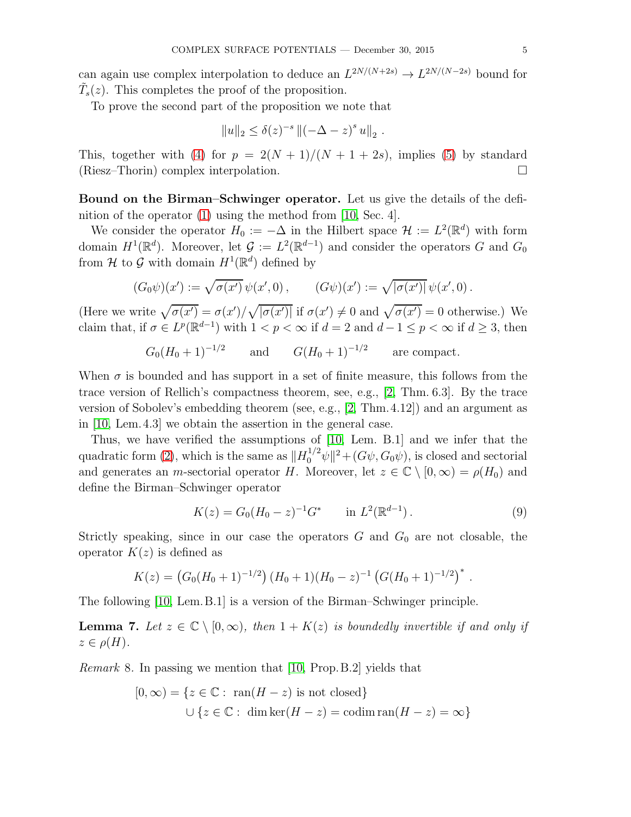can again use complex interpolation to deduce an  $L^{2N/(N+2s)} \to L^{2N/(N-2s)}$  bound for  $\tilde{T}_s(z)$ . This completes the proof of the proposition.

To prove the second part of the proposition we note that

$$
||u||_2 \leq \delta(z)^{-s} ||(-\Delta - z)^s u||_2.
$$

This, together with [\(4\)](#page-3-3) for  $p = 2(N + 1)/(N + 1 + 2s)$ , implies [\(5\)](#page-3-0) by standard (Riesz–Thorin) complex interpolation.

Bound on the Birman–Schwinger operator. Let us give the details of the definition of the operator [\(1\)](#page-0-0) using the method from [\[10,](#page-10-5) Sec. 4].

We consider the operator  $H_0 := -\Delta$  in the Hilbert space  $\mathcal{H} := L^2(\mathbb{R}^d)$  with form domain  $H^1(\mathbb{R}^d)$ . Moreover, let  $\mathcal{G} := L^2(\mathbb{R}^{d-1})$  and consider the operators G and  $G_0$ from  $\mathcal H$  to  $\mathcal G$  with domain  $H^1(\mathbb R^d)$  defined by

$$
(G_0\psi)(x') := \sqrt{\sigma(x')} \psi(x',0) , \qquad (G\psi)(x') := \sqrt{|\sigma(x')|} \psi(x',0) .
$$

(Here we write  $\sqrt{\sigma(x')} = \frac{\sigma(x')}{\sqrt{|\sigma(x')|}}$  if  $\sigma(x') \neq 0$  and  $\sqrt{\sigma(x')} = 0$  otherwise.) We claim that, if  $\sigma \in L^p(\mathbb{R}^{d-1})$  with  $1 < p < \infty$  if  $d = 2$  and  $d - 1 \le p < \infty$  if  $d \ge 3$ , then

$$
G_0(H_0+1)^{-1/2}
$$
 and  $G(H_0+1)^{-1/2}$  are compact.

When  $\sigma$  is bounded and has support in a set of finite measure, this follows from the trace version of Rellich's compactness theorem, see, e.g., [\[2,](#page-10-16) Thm. 6.3]. By the trace version of Sobolev's embedding theorem (see, e.g., [\[2,](#page-10-16) Thm.4.12]) and an argument as in [\[10,](#page-10-5) Lem.4.3] we obtain the assertion in the general case.

Thus, we have verified the assumptions of [\[10,](#page-10-5) Lem. B.1] and we infer that the quadratic form [\(2\)](#page-0-1), which is the same as  $||H_0^{1/2}\psi||^2 + (G\psi, G_0\psi)$ , is closed and sectorial and generates an m-sectorial operator H. Moreover, let  $z \in \mathbb{C} \setminus [0, \infty) = \rho(H_0)$  and define the Birman–Schwinger operator

<span id="page-4-1"></span>
$$
K(z) = G_0 (H_0 - z)^{-1} G^* \quad \text{in } L^2(\mathbb{R}^{d-1}).
$$
 (9)

.

Strictly speaking, since in our case the operators  $G$  and  $G_0$  are not closable, the operator  $K(z)$  is defined as

$$
K(z) = (G_0(H_0 + 1)^{-1/2}) (H_0 + 1)(H_0 - z)^{-1} (G(H_0 + 1)^{-1/2})^*
$$

The following [\[10,](#page-10-5) Lem.B.1] is a version of the Birman–Schwinger principle.

<span id="page-4-0"></span>**Lemma 7.** Let  $z \in \mathbb{C} \setminus [0, \infty)$ , then  $1 + K(z)$  is boundedly invertible if and only if  $z \in \rho(H)$ .

Remark 8. In passing we mention that [\[10,](#page-10-5) Prop.B.2] yields that

$$
[0, \infty) = \{ z \in \mathbb{C} : \text{ ran}(H - z) \text{ is not closed} \}
$$

$$
\cup \{ z \in \mathbb{C} : \dim \ker(H - z) = \text{codim} \operatorname{ran}(H - z) = \infty \}
$$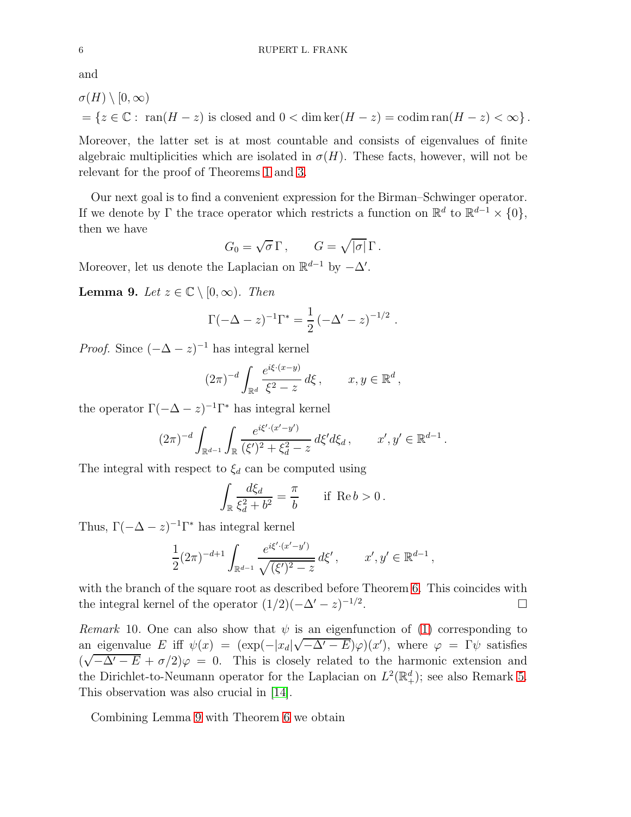and

$$
\sigma(H) \setminus [0, \infty)
$$
  
=  $\{z \in \mathbb{C} : \text{ran}(H - z) \text{ is closed and } 0 < \dim \ker(H - z) = \text{codim} \text{ran}(H - z) < \infty \}.$ 

Moreover, the latter set is at most countable and consists of eigenvalues of finite algebraic multiplicities which are isolated in  $\sigma(H)$ . These facts, however, will not be relevant for the proof of Theorems [1](#page-1-1) and [3.](#page-1-3)

Our next goal is to find a convenient expression for the Birman–Schwinger operator. If we denote by  $\Gamma$  the trace operator which restricts a function on  $\mathbb{R}^d$  to  $\mathbb{R}^{d-1} \times \{0\}$ , then we have

$$
G_0 = \sqrt{\sigma} \Gamma, \qquad G = \sqrt{|\sigma|} \Gamma.
$$

Moreover, let us denote the Laplacian on  $\mathbb{R}^{d-1}$  by  $-\Delta'$ .

<span id="page-5-0"></span>**Lemma 9.** Let  $z \in \mathbb{C} \setminus [0, \infty)$ . Then

$$
\Gamma(-\Delta - z)^{-1} \Gamma^* = \frac{1}{2} \left( -\Delta' - z \right)^{-1/2} .
$$

*Proof.* Since  $(-\Delta - z)^{-1}$  has integral kernel

$$
(2\pi)^{-d} \int_{\mathbb{R}^d} \frac{e^{i\xi \cdot (x-y)}}{\xi^2 - z} d\xi, \qquad x, y \in \mathbb{R}^d,
$$

the operator  $\Gamma(-\Delta - z)^{-1}\Gamma^*$  has integral kernel

$$
(2\pi)^{-d} \int_{\mathbb{R}^{d-1}} \int_{\mathbb{R}} \frac{e^{i\xi'(x'-y')}}{(\xi')^2 + \xi_d^2 - z} d\xi' d\xi_d, \qquad x', y' \in \mathbb{R}^{d-1}.
$$

The integral with respect to  $\xi_d$  can be computed using

$$
\int_{\mathbb{R}} \frac{d\xi_d}{\xi_d^2 + b^2} = \frac{\pi}{b} \quad \text{if } \text{Re } b > 0.
$$

Thus,  $\Gamma(-\Delta - z)^{-1} \Gamma^*$  has integral kernel

$$
\frac{1}{2}(2\pi)^{-d+1} \int_{\mathbb{R}^{d-1}} \frac{e^{i\xi' \cdot (x'-y')}}{\sqrt{(\xi')^2 - z}} d\xi', \qquad x', y' \in \mathbb{R}^{d-1},
$$

with the branch of the square root as described before Theorem [6.](#page-2-0) This coincides with the integral kernel of the operator  $(1/2)(-\Delta' - z)^{-1/2}$ .

Remark 10. One can also show that  $\psi$  is an eigenfunction of [\(1\)](#page-0-0) corresponding to an eigenvalue E iff  $\psi(x) = (\exp(-|x_d|\sqrt{-\Delta'-E})\varphi)(x')$ , where  $\varphi = \Gamma \psi$  satisfies  $(\sqrt{-\Delta' - E} + \sigma/2)\varphi = 0$ . This is closely related to the harmonic extension and the Dirichlet-to-Neumann operator for the Laplacian on  $L^2(\mathbb{R}^d_+)$ ; see also Remark [5.](#page-2-1) This observation was also crucial in [\[14\]](#page-10-17).

Combining Lemma [9](#page-5-0) with Theorem [6](#page-2-0) we obtain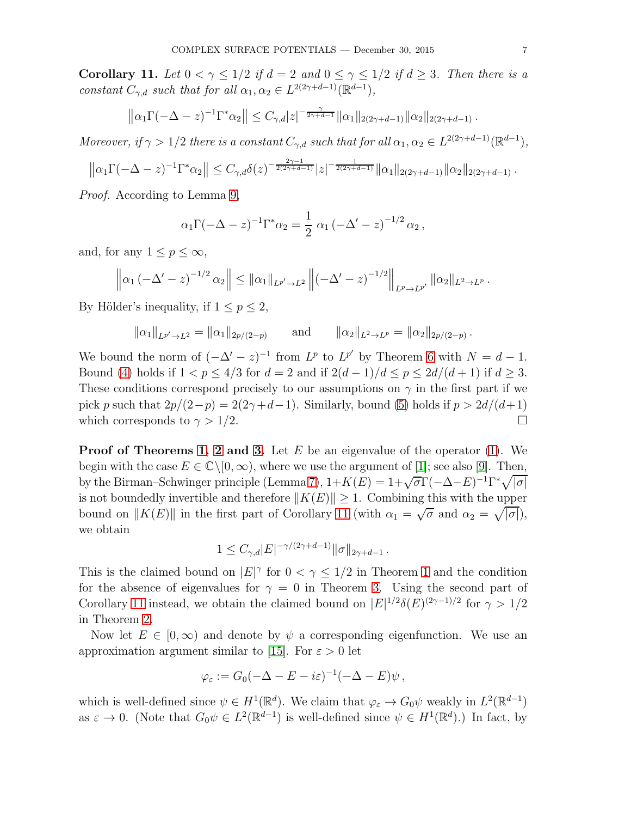<span id="page-6-0"></span>Corollary 11. Let  $0 < \gamma \leq 1/2$  if  $d = 2$  and  $0 \leq \gamma \leq 1/2$  if  $d \geq 3$ . Then there is a constant  $C_{\gamma,d}$  such that for all  $\alpha_1, \alpha_2 \in L^{2(2\gamma+d-1)}(\mathbb{R}^{d-1}),$ 

$$
\left\|\alpha_1\Gamma(-\Delta-z)^{-1}\Gamma^*\alpha_2\right\| \leq C_{\gamma,d}|z|^{-\frac{\gamma}{2\gamma+d-1}}\|\alpha_1\|_{2(2\gamma+d-1)}\|\alpha_2\|_{2(2\gamma+d-1)}.
$$

Moreover, if  $\gamma > 1/2$  there is a constant  $C_{\gamma,d}$  such that for all  $\alpha_1, \alpha_2 \in L^{2(2\gamma+d-1)}(\mathbb{R}^{d-1}),$ 

$$
\left\|\alpha_1\Gamma(-\Delta-z)^{-1}\Gamma^*\alpha_2\right\| \leq C_{\gamma,d}\delta(z)^{-\frac{2\gamma-1}{2(2\gamma+d-1)}}|z|^{-\frac{1}{2(2\gamma+d-1)}}\|\alpha_1\|_{2(2\gamma+d-1)}\|\alpha_2\|_{2(2\gamma+d-1)}.
$$

Proof. According to Lemma [9,](#page-5-0)

$$
\alpha_1 \Gamma(-\Delta - z)^{-1} \Gamma^* \alpha_2 = \frac{1}{2} \alpha_1 \left(-\Delta' - z\right)^{-1/2} \alpha_2,
$$

and, for any  $1 \le p \le \infty$ ,

$$
\left\|\alpha_1\left(-\Delta'-z\right)^{-1/2}\alpha_2\right\| \leq \|\alpha_1\|_{L^{p'}\to L^2}\left\|\left(-\Delta'-z\right)^{-1/2}\right\|_{L^p\to L^{p'}}\|\alpha_2\|_{L^2\to L^p}.
$$

By Hölder's inequality, if  $1 \leq p \leq 2$ ,

$$
\|\alpha_1\|_{L^{p'}\to L^2} = \|\alpha_1\|_{2p/(2-p)} \quad \text{and} \quad \|\alpha_2\|_{L^2\to L^p} = \|\alpha_2\|_{2p/(2-p)}.
$$

We bound the norm of  $(-\Delta' - z)^{-1}$  from  $L^p$  to  $L^{p'}$  by Theorem [6](#page-2-0) with  $N = d - 1$ . Bound [\(4\)](#page-3-3) holds if  $1 < p \leq 4/3$  for  $d = 2$  and if  $2(d-1)/d \leq p \leq 2d/(d+1)$  if  $d \geq 3$ . These conditions correspond precisely to our assumptions on  $\gamma$  in the first part if we pick p such that  $2p/(2-p) = 2(2\gamma+d-1)$ . Similarly, bound [\(5\)](#page-3-0) holds if  $p > 2d/(d+1)$ <br>which corresponds to  $\gamma > 1/2$ . which corresponds to  $\gamma > 1/2$ .

**Proof of Theorems [1,](#page-1-1) [2](#page-1-2) and [3.](#page-1-3)** Let  $E$  be an eigenvalue of the operator [\(1\)](#page-0-0). We begin with the case  $E \in \mathbb{C} \setminus [0, \infty)$ , where we use the argument of [\[1\]](#page-10-1); see also [\[9\]](#page-10-2). Then, by the Birman–Schwinger principle (Lemma [7\)](#page-4-0),  $1 + K(E) = 1 + \sqrt{\sigma} \Gamma(-\Delta - E)^{-1} \Gamma^* \sqrt{|\sigma|}$ is not boundedly invertible and therefore  $||K(E)|| \geq 1$ . Combining this with the upper bound on  $||K(E)||$  in the first part of Corollary [11](#page-6-0) (with  $\alpha_1 = \sqrt{\sigma}$  and  $\alpha_2 = \sqrt{|\sigma|}$ ), we obtain

$$
1\leq C_{\gamma,d} |E|^{-\gamma/(2\gamma+d-1)} \|\sigma\|_{2\gamma+d-1}\,.
$$

This is the claimed bound on  $|E|^{\gamma}$  for  $0 < \gamma \leq 1/2$  $0 < \gamma \leq 1/2$  $0 < \gamma \leq 1/2$  in Theorem 1 and the condition for the absence of eigenvalues for  $\gamma = 0$  in Theorem [3.](#page-1-3) Using the second part of Corollary [11](#page-6-0) instead, we obtain the claimed bound on  $|E|^{1/2}\delta(E)^{(2\gamma-1)/2}$  for  $\gamma > 1/2$ in Theorem [2.](#page-1-2)

Now let  $E \in [0, \infty)$  and denote by  $\psi$  a corresponding eigenfunction. We use an approximation argument similar to [\[15\]](#page-10-3). For  $\varepsilon > 0$  let

$$
\varphi_{\varepsilon} := G_0(-\Delta - E - i\varepsilon)^{-1}(-\Delta - E)\psi,
$$

which is well-defined since  $\psi \in H^1(\mathbb{R}^d)$ . We claim that  $\varphi_{\varepsilon} \to G_0 \psi$  weakly in  $L^2(\mathbb{R}^{d-1})$ as  $\varepsilon \to 0$ . (Note that  $G_0 \psi \in L^2(\mathbb{R}^{d-1})$  is well-defined since  $\psi \in H^1(\mathbb{R}^d)$ .) In fact, by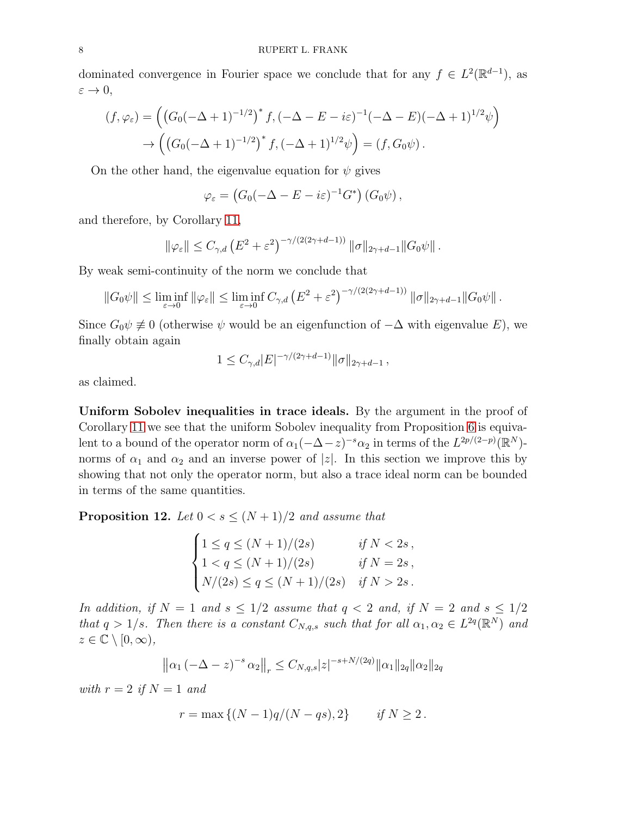dominated convergence in Fourier space we conclude that for any  $f \in L^2(\mathbb{R}^{d-1})$ , as  $\varepsilon \to 0$ ,

$$
(f, \varphi_{\varepsilon}) = \left( \left( G_0(-\Delta + 1)^{-1/2} \right)^* f, \left( -\Delta - E - i\varepsilon \right)^{-1} (-\Delta - E)(-\Delta + 1)^{1/2} \psi \right) \\
 \to \left( \left( G_0(-\Delta + 1)^{-1/2} \right)^* f, \left( -\Delta + 1 \right)^{1/2} \psi \right) = (f, G_0 \psi).
$$

On the other hand, the eigenvalue equation for  $\psi$  gives

$$
\varphi_{\varepsilon} = (G_0(-\Delta - E - i\varepsilon)^{-1} G^*) (G_0 \psi),
$$

and therefore, by Corollary [11,](#page-6-0)

$$
\|\varphi_{\varepsilon}\| \leq C_{\gamma,d} \left( E^2 + \varepsilon^2 \right)^{-\gamma/(2(2\gamma+d-1))} \|\sigma\|_{2\gamma+d-1} \|G_0\psi\|.
$$

By weak semi-continuity of the norm we conclude that

$$
||G_0\psi|| \leq \liminf_{\varepsilon \to 0} ||\varphi_{\varepsilon}|| \leq \liminf_{\varepsilon \to 0} C_{\gamma,d} (E^2 + \varepsilon^2)^{-\gamma/(2(2\gamma + d - 1))} ||\sigma||_{2\gamma + d - 1} ||G_0\psi||.
$$

Since  $G_0\psi \neq 0$  (otherwise  $\psi$  would be an eigenfunction of  $-\Delta$  with eigenvalue E), we finally obtain again

$$
1 \leq C_{\gamma,d} |E|^{-\gamma/(2\gamma + d - 1)} \|\sigma\|_{2\gamma + d - 1},
$$

as claimed.

Uniform Sobolev inequalities in trace ideals. By the argument in the proof of Corollary [11](#page-6-0) we see that the uniform Sobolev inequality from Proposition [6](#page-2-0) is equivalent to a bound of the operator norm of  $\alpha_1(-\Delta-z)^{-s}\alpha_2$  in terms of the  $L^{2p/(2-p)}(\mathbb{R}^N)$ norms of  $\alpha_1$  and  $\alpha_2$  and an inverse power of |z|. In this section we improve this by showing that not only the operator norm, but also a trace ideal norm can be bounded in terms of the same quantities.

<span id="page-7-0"></span>**Proposition 12.** Let  $0 < s < (N + 1)/2$  and assume that

$$
\begin{cases}\n1 \le q \le (N+1)/(2s) & \text{if } N < 2s, \\
1 < q \le (N+1)/(2s) & \text{if } N = 2s, \\
N/(2s) \le q \le (N+1)/(2s) & \text{if } N > 2s.\n\end{cases}
$$

In addition, if  $N = 1$  and  $s \leq 1/2$  assume that  $q < 2$  and, if  $N = 2$  and  $s \leq 1/2$ that  $q > 1/s$ . Then there is a constant  $C_{N,q,s}$  such that for all  $\alpha_1, \alpha_2 \in L^{2q}(\mathbb{R}^N)$  and  $z \in \mathbb{C} \setminus [0, \infty),$ 

$$
\left\|\alpha_1\left(-\Delta-z\right)^{-s}\alpha_2\right\|_r \leq C_{N,q,s}|z|^{-s+N/(2q)}\|\alpha_1\|_{2q}\|\alpha_2\|_{2q}
$$

with  $r = 2$  if  $N = 1$  and

$$
r = \max \{ (N-1)q/(N-qs), 2 \}
$$
 if  $N \ge 2$ .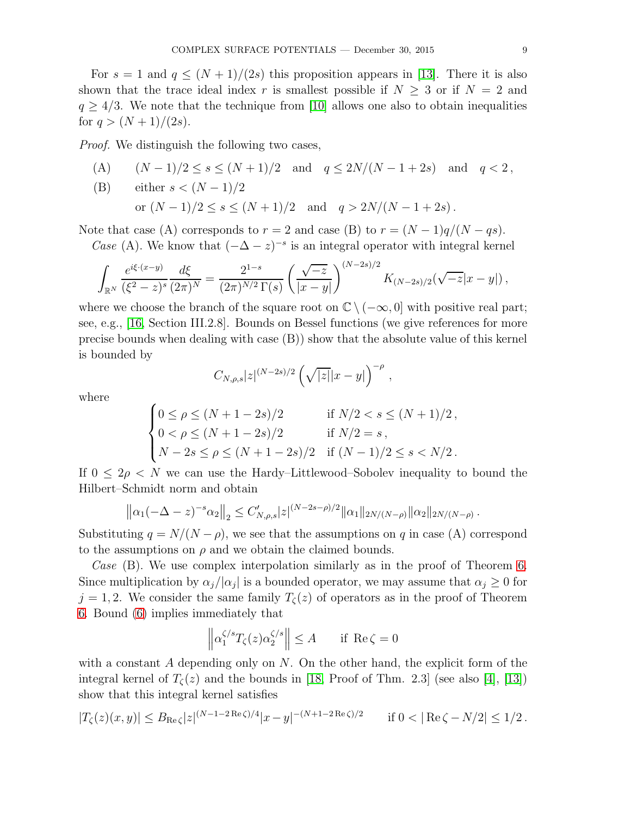For  $s = 1$  and  $q \leq (N + 1)/(2s)$  this proposition appears in [\[13\]](#page-10-9). There it is also shown that the trace ideal index r is smallest possible if  $N \geq 3$  or if  $N = 2$  and  $q \geq 4/3$ . We note that the technique from [\[10\]](#page-10-5) allows one also to obtain inequalities for  $q > (N+1)/(2s)$ .

Proof. We distinguish the following two cases,

(A) 
$$
(N-1)/2 \le s \le (N+1)/2
$$
 and  $q \le 2N/(N-1+2s)$  and  $q < 2$ ,

(B) either 
$$
s < (N-1)/2
$$
  
or  $(N-1)/2 \le s \le (N+1)/2$  and  $q > 2N/(N-1+2s)$ .

Note that case (A) corresponds to  $r = 2$  and case (B) to  $r = (N-1)q/(N-qs)$ .

Case (A). We know that  $(-\Delta - z)^{-s}$  is an integral operator with integral kernel

$$
\int_{\mathbb{R}^N} \frac{e^{i\xi \cdot (x-y)}}{(\xi^2 - z)^s} \frac{d\xi}{(2\pi)^N} = \frac{2^{1-s}}{(2\pi)^{N/2} \Gamma(s)} \left( \frac{\sqrt{-z}}{|x-y|} \right)^{(N-2s)/2} K_{(N-2s)/2}(\sqrt{-z}|x-y|),
$$

where we choose the branch of the square root on  $\mathbb{C} \setminus (-\infty, 0]$  with positive real part; see, e.g., [\[16,](#page-10-18) Section III.2.8]. Bounds on Bessel functions (we give references for more precise bounds when dealing with case (B)) show that the absolute value of this kernel is bounded by

$$
C_{N,\rho,s}|z|^{(N-2s)/2}\left(\sqrt{|z|}|x-y|\right)^{-\rho},
$$

where

$$
\begin{cases}\n0 \le \rho \le (N+1-2s)/2 & \text{if } N/2 < s \le (N+1)/2, \\
0 < \rho \le (N+1-2s)/2 & \text{if } N/2 = s, \\
N-2s \le \rho \le (N+1-2s)/2 & \text{if } (N-1)/2 \le s < N/2.\n\end{cases}
$$

If  $0 \leq 2\rho \leq N$  we can use the Hardy–Littlewood–Sobolev inequality to bound the Hilbert–Schmidt norm and obtain

$$
\left\|\alpha_1(-\Delta-z)^{-s}\alpha_2\right\|_2 \leq C'_{N,\rho,s}|z|^{(N-2s-\rho)/2}\|\alpha_1\|_{2N/(N-\rho)}\|\alpha_2\|_{2N/(N-\rho)}.
$$

Substituting  $q = N/(N - \rho)$ , we see that the assumptions on q in case (A) correspond to the assumptions on  $\rho$  and we obtain the claimed bounds.

Case  $(B)$ . We use complex interpolation similarly as in the proof of Theorem [6.](#page-2-0) Since multiplication by  $\alpha_j/|\alpha_j|$  is a bounded operator, we may assume that  $\alpha_j \geq 0$  for  $j = 1, 2$ . We consider the same family  $T_{\zeta}(z)$  of operators as in the proof of Theorem [6.](#page-2-0) Bound [\(6\)](#page-3-2) implies immediately that

$$
\left\| \alpha_1^{\zeta/s} T_{\zeta}(z) \alpha_2^{\zeta/s} \right\| \le A \quad \text{if } \text{Re}\,\zeta = 0
$$

with a constant  $A$  depending only on  $N$ . On the other hand, the explicit form of the integral kernel of  $T_{\zeta}(z)$  and the bounds in [\[18,](#page-10-15) Proof of Thm. 2.3] (see also [\[4\]](#page-10-19), [\[13\]](#page-10-9)) show that this integral kernel satisfies

$$
|T_{\zeta}(z)(x,y)| \leq B_{\text{Re}\,\zeta}|z|^{(N-1-2\,\text{Re}\,\zeta)/4}|x-y|^{-(N+1-2\,\text{Re}\,\zeta)/2} \qquad \text{if } 0<|\,\text{Re}\,\zeta-N/2| \leq 1/2\,.
$$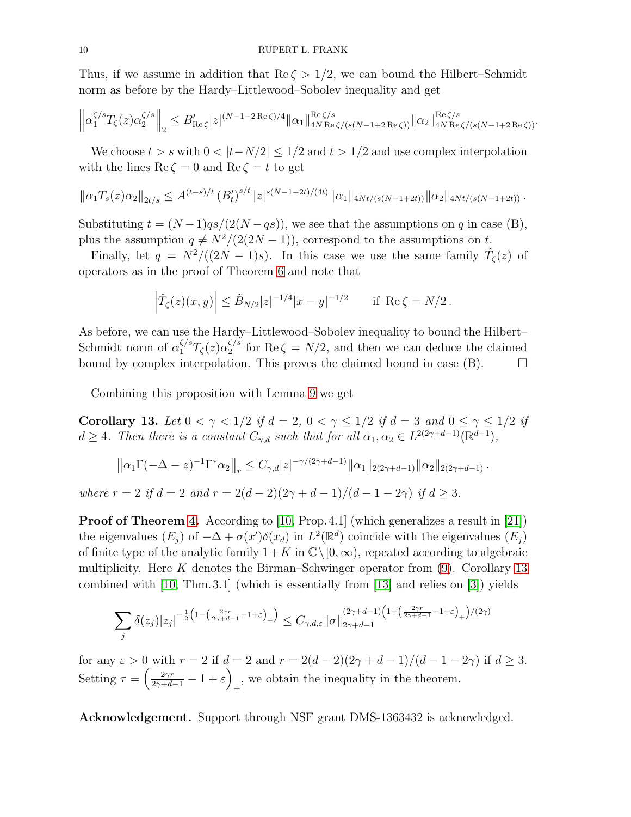Thus, if we assume in addition that  $\text{Re}\,\zeta > 1/2$ , we can bound the Hilbert–Schmidt norm as before by the Hardy–Littlewood–Sobolev inequality and get

$$
\left\|\alpha_1^{\zeta/s}T_{\zeta}(z)\alpha_2^{\zeta/s}\right\|_2 \leq B_{\mathrm{Re}\,\zeta}'|z|^{(N-1-2\,\mathrm{Re}\,\zeta)/4}\|\alpha_1\|_{4N\,\mathrm{Re}\,\zeta/(s(N-1+2\,\mathrm{Re}\,\zeta))}^{\mathrm{Re}\,\zeta/s}\|\alpha_2\|_{4N\,\mathrm{Re}\,\zeta/(s(N-1+2\,\mathrm{Re}\,\zeta))}^{\mathrm{Re}\,\zeta/s}.
$$

We choose  $t > s$  with  $0 < |t - N/2| \leq 1/2$  and  $t > 1/2$  and use complex interpolation with the lines  $\text{Re}\,\zeta=0$  and  $\text{Re}\,\zeta=t$  to get

$$
\left\|\alpha_1 T_s(z)\alpha_2\right\|_{2t/s} \leq A^{(t-s)/t} \left(B_t'\right)^{s/t} |z|^{s(N-1-2t)/(4t)} \|\alpha_1\|_{4Nt/(s(N-1+2t))} \|\alpha_2\|_{4Nt/(s(N-1+2t))}.
$$

Substituting  $t = (N-1)qs/(2(N-qs))$ , we see that the assumptions on q in case (B), plus the assumption  $q \neq N^2/(2(2N-1))$ , correspond to the assumptions on t.

Finally, let  $q = N^2/((2N-1)s)$ . In this case we use the same family  $\tilde{T}_{\zeta}(z)$  of operators as in the proof of Theorem [6](#page-2-0) and note that

$$
\left| \tilde{T}_{\zeta}(z)(x,y) \right| \leq \tilde{B}_{N/2} |z|^{-1/4} |x-y|^{-1/2}
$$
 if Re  $\zeta = N/2$ .

As before, we can use the Hardy–Littlewood–Sobolev inequality to bound the Hilbert– Schmidt norm of  $\alpha_1^{\zeta/s}T_{\zeta}(z)\alpha_2^{\zeta/s}$  $S_2^{S}$  for Re  $\zeta = N/2$ , and then we can deduce the claimed bound by complex interpolation. This proves the claimed bound in case  $(B)$ .  $\Box$ 

Combining this proposition with Lemma [9](#page-5-0) we get

<span id="page-9-0"></span>Corollary 13. Let  $0 < \gamma < 1/2$  if  $d = 2$ ,  $0 < \gamma \le 1/2$  if  $d = 3$  and  $0 \le \gamma \le 1/2$  if  $d \geq 4$ . Then there is a constant  $C_{\gamma,d}$  such that for all  $\alpha_1, \alpha_2 \in L^{2(2\gamma+d-1)}(\mathbb{R}^{d-1}),$ 

$$
\left\|\alpha_1\Gamma(-\Delta-z)^{-1}\Gamma^*\alpha_2\right\|_r \leq C_{\gamma,d}|z|^{-\gamma/(2\gamma+d-1)}\|\alpha_1\|_{2(2\gamma+d-1)}\|\alpha_2\|_{2(2\gamma+d-1)}.
$$

where  $r = 2$  if  $d = 2$  and  $r = 2(d-2)(2\gamma + d - 1)/(d - 1 - 2\gamma)$  if  $d \geq 3$ .

Proof of Theorem [4.](#page-1-0) According to [\[10,](#page-10-5) Prop. 4.1] (which generalizes a result in [\[21\]](#page-10-20)) the eigenvalues  $(E_j)$  of  $-\Delta + \sigma(x')\delta(x_d)$  in  $L^2(\mathbb{R}^d)$  coincide with the eigenvalues  $(E_j)$ of finite type of the analytic family  $1+K$  in  $\mathbb{C}\setminus[0,\infty)$ , repeated according to algebraic multiplicity. Here K denotes the Birman–Schwinger operator from  $(9)$ . Corollary [13](#page-9-0) combined with [\[10,](#page-10-5) Thm.3.1] (which is essentially from [\[13\]](#page-10-9) and relies on [\[3\]](#page-10-11)) yields

$$
\sum_{j} \delta(z_j) |z_j|^{-\frac{1}{2} \left(1 - \left(\frac{2\gamma r}{2\gamma + d - 1} - 1 + \varepsilon\right)_{+}\right)} \le C_{\gamma, d, \varepsilon} \|\sigma\|_{2\gamma + d - 1}^{(2\gamma + d - 1) \left(1 + \left(\frac{2\gamma r}{2\gamma + d - 1} - 1 + \varepsilon\right)_{+}\right)/(2\gamma)}
$$

for any  $\varepsilon > 0$  with  $r = 2$  if  $d = 2$  and  $r = 2(d-2)(2\gamma + d - 1)/(d - 1 - 2\gamma)$  if  $d \ge 3$ . Setting  $\tau = \left(\frac{2\gamma r}{2\gamma + d - 1} - 1 + \varepsilon\right)$ , we obtain the inequality in the theorem.

Acknowledgement. Support through NSF grant DMS-1363432 is acknowledged.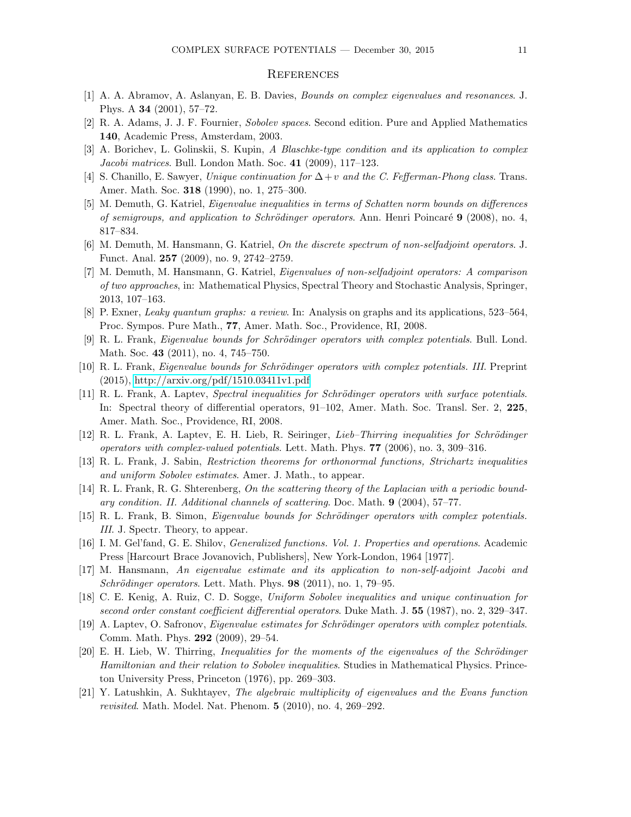## **REFERENCES**

- <span id="page-10-16"></span><span id="page-10-1"></span>[1] A. A. Abramov, A. Aslanyan, E. B. Davies, Bounds on complex eigenvalues and resonances. J. Phys. A 34 (2001), 57–72.
- <span id="page-10-11"></span>[2] R. A. Adams, J. J. F. Fournier, Sobolev spaces. Second edition. Pure and Applied Mathematics 140, Academic Press, Amsterdam, 2003.
- <span id="page-10-19"></span>[3] A. Borichev, L. Golinskii, S. Kupin, A Blaschke-type condition and its application to complex Jacobi matrices. Bull. London Math. Soc. 41 (2009), 117–123.
- <span id="page-10-10"></span>[4] S. Chanillo, E. Sawyer, Unique continuation for  $\Delta + v$  and the C. Fefferman-Phong class. Trans. Amer. Math. Soc. 318 (1990), no. 1, 275–300.
- [5] M. Demuth, G. Katriel, Eigenvalue inequalities in terms of Schatten norm bounds on differences of semigroups, and application to Schrödinger operators. Ann. Henri Poincaré  $9$  (2008), no. 4, 817–834.
- <span id="page-10-13"></span><span id="page-10-12"></span>[6] M. Demuth, M. Hansmann, G. Katriel, On the discrete spectrum of non-selfadjoint operators. J. Funct. Anal. 257 (2009), no. 9, 2742–2759.
- [7] M. Demuth, M. Hansmann, G. Katriel, Eigenvalues of non-selfadjoint operators: A comparison of two approaches, in: Mathematical Physics, Spectral Theory and Stochastic Analysis, Springer, 2013, 107–163.
- <span id="page-10-4"></span><span id="page-10-2"></span>[8] P. Exner, Leaky quantum graphs: a review. In: Analysis on graphs and its applications, 523–564, Proc. Sympos. Pure Math., 77, Amer. Math. Soc., Providence, RI, 2008.
- <span id="page-10-5"></span>[9] R. L. Frank, Eigenvalue bounds for Schrödinger operators with complex potentials. Bull. Lond. Math. Soc. 43 (2011), no. 4, 745–750.
- <span id="page-10-7"></span>[10] R. L. Frank, *Eigenvalue bounds for Schrödinger operators with complex potentials. III.* Preprint (2015),<http://arxiv.org/pdf/1510.03411v1.pdf>
- [11] R. L. Frank, A. Laptev, Spectral inequalities for Schrödinger operators with surface potentials. In: Spectral theory of differential operators, 91–102, Amer. Math. Soc. Transl. Ser. 2, 225, Amer. Math. Soc., Providence, RI, 2008.
- <span id="page-10-9"></span><span id="page-10-8"></span>[12] R. L. Frank, A. Laptev, E. H. Lieb, R. Seiringer, Lieb-Thirring inequalities for Schrödinger operators with complex-valued potentials. Lett. Math. Phys. 77 (2006), no. 3, 309–316.
- <span id="page-10-17"></span>[13] R. L. Frank, J. Sabin, Restriction theorems for orthonormal functions, Strichartz inequalities and uniform Sobolev estimates. Amer. J. Math., to appear.
- [14] R. L. Frank, R. G. Shterenberg, On the scattering theory of the Laplacian with a periodic boundary condition. II. Additional channels of scattering. Doc. Math. 9 (2004), 57–77.
- <span id="page-10-18"></span><span id="page-10-3"></span>[15] R. L. Frank, B. Simon, *Eigenvalue bounds for Schrödinger operators with complex potentials.* III. J. Spectr. Theory, to appear.
- [16] I. M. Gel'fand, G. E. Shilov, Generalized functions. Vol. 1. Properties and operations. Academic Press [Harcourt Brace Jovanovich, Publishers], New York-London, 1964 [1977].
- <span id="page-10-14"></span>[17] M. Hansmann, An eigenvalue estimate and its application to non-self-adjoint Jacobi and Schrödinger operators. Lett. Math. Phys.  $98$  (2011), no. 1, 79–95.
- <span id="page-10-15"></span>[18] C. E. Kenig, A. Ruiz, C. D. Sogge, Uniform Sobolev inequalities and unique continuation for second order constant coefficient differential operators. Duke Math. J. 55 (1987), no. 2, 329–347.
- <span id="page-10-0"></span>[19] A. Laptev, O. Safronov, Eigenvalue estimates for Schrödinger operators with complex potentials. Comm. Math. Phys. 292 (2009), 29–54.
- <span id="page-10-6"></span>[20] E. H. Lieb, W. Thirring, Inequalities for the moments of the eigenvalues of the Schrödinger Hamiltonian and their relation to Sobolev inequalities. Studies in Mathematical Physics. Princeton University Press, Princeton (1976), pp. 269–303.
- <span id="page-10-20"></span>[21] Y. Latushkin, A. Sukhtayev, The algebraic multiplicity of eigenvalues and the Evans function revisited. Math. Model. Nat. Phenom. 5 (2010), no. 4, 269–292.